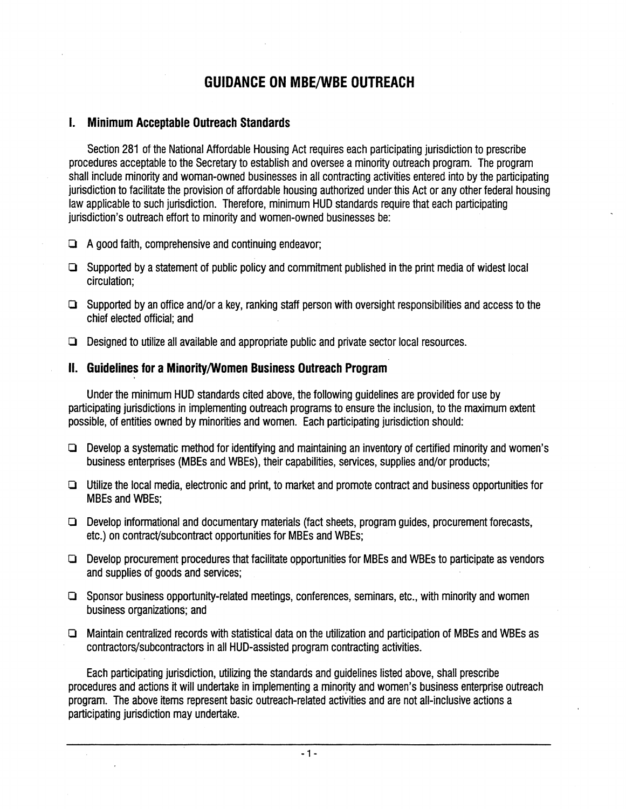# **GUIDANCE ON MBE/WBE OUTREACH**

### **I. Minimum Acceptable Outreach Standards**

Section 281 of the National Affordable Housing Act requires each participating jurisdiction to prescribe procedures acceptable to the Secretary to establish and oversee aminority outreach program. The program shall include minority and woman-owned businesses in all contracting activities entered into by the participating jurisdiction to facilitate the provision of affordable housing authorized underthis Act or any other federal housing law applicable to such jurisdiction. Therefore, minimum HUD standards require that each participating jurisdiction's outreach effort to minority and women-owned businesses be:

- $\Box$  A good faith, comprehensive and continuing endeavor;
- $\Box$  Supported by a statement of public policy and commitment published in the print media of widest local circulation;
- $\Box$  Supported by an office and/or a key, ranking staff person with oversight responsibilities and access to the chief elected official; and
- $\Box$  Designed to utilize all available and appropriate public and private sector local resources.

### II. Guidelines for a Minority/Women Business Outreach Program

Under the minimum HUD standards cited above, the following guidelines are provided for use by participating jurisdictions in implementing outreach programs to ensure the inclusion, to the maximum extent possible, of entities owned by minorities and women. Each participating jurisdiction should:

- $\Box$  Develop a systematic method for identifying and maintaining an inventory of certified minority and women's business enterprises (MBEs and WBEs), their capabilities, services, supplies and/or products;
- $\Box$  Utilize the local media, electronic and print, to market and promote contract and business opportunities for MBEs and WBEs;
- $\Box$  Develop informational and documentary materials (fact sheets, program guides, procurement forecasts, etc.) on contract/subcontract opportunities for MBEs and WBEs;
- $\Box$  Develop procurement procedures that facilitate opportunities for MBEs and WBEs to participate as vendors and supplies of goods and services;
- $\Box$  Sponsor business opportunity-related meetings, conferences, seminars, etc., with minority and women business organizations; and
- $\Box$  Maintain centralized records with statistical data on the utilization and participation of MBEs and WBEs as contractors/subcontractors in all HUD-assisted program contracting activities.

Each participating jurisdiction, utilizing the standards and guidelines listed above, shall prescribe procedures and actions it will undertake in implementing a minority and women's business enterprise outreach program. The above items represent basic outreach-related activities and are not all-inclusive actions a participating jurisdiction may undertake.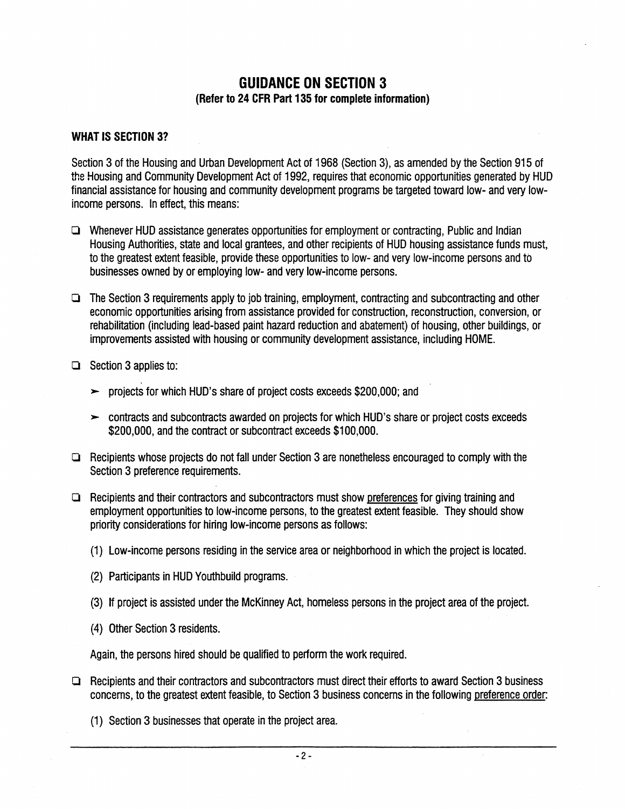## GUIDANCE ON SECTION 3 (Refer to 24 CFR Part 135 for complete information)

#### WHAT IS SECTION 3?

Section 3 of the Housing and Urban Development Act of 1968 (Section 3), as amended by the Section 915 of the Housing and Community Development Act of 1992, requires that economic opportunities generated by HUD financial assistance for housing and community development programs be targeted toward low- and very lowincome persons. In effect, this means:

- $\Box$  Whenever HUD assistance generates opportunities for employment or contracting, Public and Indian Housing Authorities, state and local grantees, and other recipients of HUD housing assistance funds must, to the greatest extent feasible, provide these opportunities to low- and very low-income persons and to businesses owned by or employing low- and very low-income persons.
- $\Box$  The Section 3 requirements apply to job training, employment, contracting and subcontracting and other economic opportunities arising from assistance provided for construction, reconstruction, conversion, or rehabilitation (including lead-based paint hazard reduction and abatement) of housing, other buildings, or improvements assisted with housing or community development assistance, including HOME.
- $\Box$  Section 3 applies to:
	- ~ projects for which HUD's share of project costs exceeds \$200,000; and
	- $\rightarrow$  contracts and subcontracts awarded on projects for which HUD's share or project costs exceeds \$200,000, and the contract or subcontract exceeds \$100,000.
- $\Box$  Recipients whose projects do not fall under Section 3 are nonetheless encouraged to comply with the Section 3 preference requirements.
- $\Box$  Recipients and their contractors and subcontractors must show preferences for giving training and employment opportunities to low-income persons, to the greatest extent feasible. They should show priority considerations for hiring low-income persons as follows:
	- (1) Low-income persons residing in the service area or neighborhood in which the project is located.
	- (2) Participants in HUD Youthbuild programs.
	- (3) If project is assisted under the McKinney Act, homeless persons in the project area of the project.
	- (4) Other Section 3 residents.

Again, the persons hired should be qualified to pertorm the work required.

- $\Box$  Recipients and their contractors and subcontractors must direct their efforts to award Section 3 business concerns, to the greatest extent feasible, to Section 3 business concerns in the following preference order.
	- (1) Section 3 businesses that operate in the project area.